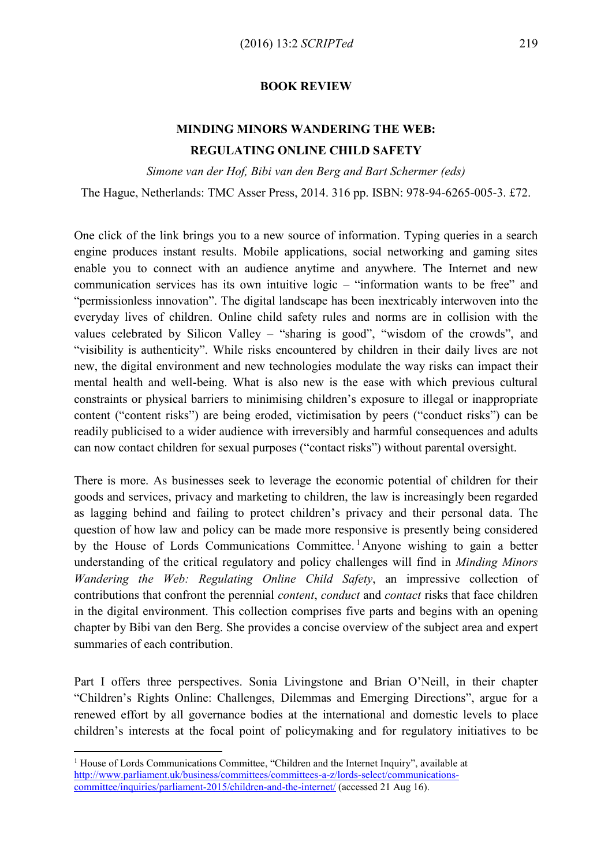**BOOK REVIEW**

## **MINDING MINORS WANDERING THE WEB: REGULATING ONLINE CHILD SAFETY**

*Simone van der Hof, Bibi van den Berg and Bart Schermer (eds)*

The Hague, Netherlands: TMC Asser Press, 2014. 316 pp. ISBN: 978-94-6265-005-3. £72.

One click of the link brings you to a new source of information. Typing queries in a search engine produces instant results. Mobile applications, social networking and gaming sites enable you to connect with an audience anytime and anywhere. The Internet and new communication services has its own intuitive logic – "information wants to be free" and "permissionless innovation". The digital landscape has been inextricably interwoven into the everyday lives of children. Online child safety rules and norms are in collision with the values celebrated by Silicon Valley – "sharing is good", "wisdom of the crowds", and "visibility is authenticity". While risks encountered by children in their daily lives are not new, the digital environment and new technologies modulate the way risks can impact their mental health and well-being. What is also new is the ease with which previous cultural constraints or physical barriers to minimising children's exposure to illegal or inappropriate content ("content risks") are being eroded, victimisation by peers ("conduct risks") can be readily publicised to a wider audience with irreversibly and harmful consequences and adults can now contact children for sexual purposes ("contact risks") without parental oversight.

There is more. As businesses seek to leverage the economic potential of children for their goods and services, privacy and marketing to children, the law is increasingly been regarded as lagging behind and failing to protect children's privacy and their personal data. The question of how law and policy can be made more responsive is presently being considered by the House of Lords Communications Committee. <sup>1</sup> Anyone wishing to gain a better understanding of the critical regulatory and policy challenges will find in *Minding Minors Wandering the Web: Regulating Online Child Safety*, an impressive collection of contributions that confront the perennial *content*, *conduct* and *contact* risks that face children in the digital environment. This collection comprises five parts and begins with an opening chapter by Bibi van den Berg. She provides a concise overview of the subject area and expert summaries of each contribution.

Part I offers three perspectives. Sonia Livingstone and Brian O'Neill, in their chapter "Children's Rights Online: Challenges, Dilemmas and Emerging Directions", argue for a renewed effort by all governance bodies at the international and domestic levels to place children's interests at the focal point of policymaking and for regulatory initiatives to be

 $\overline{a}$ 

<sup>&</sup>lt;sup>1</sup> House of Lords Communications Committee, "Children and the Internet Inquiry", available at [http://www.parliament.uk/business/committees/committees-a-z/lords-select/communications](http://www.parliament.uk/business/committees/committees-a-z/lords-select/communications-committee/inquiries/parliament-2015/children-and-the-internet/)[committee/inquiries/parliament-2015/children-and-the-internet/](http://www.parliament.uk/business/committees/committees-a-z/lords-select/communications-committee/inquiries/parliament-2015/children-and-the-internet/) (accessed 21 Aug 16).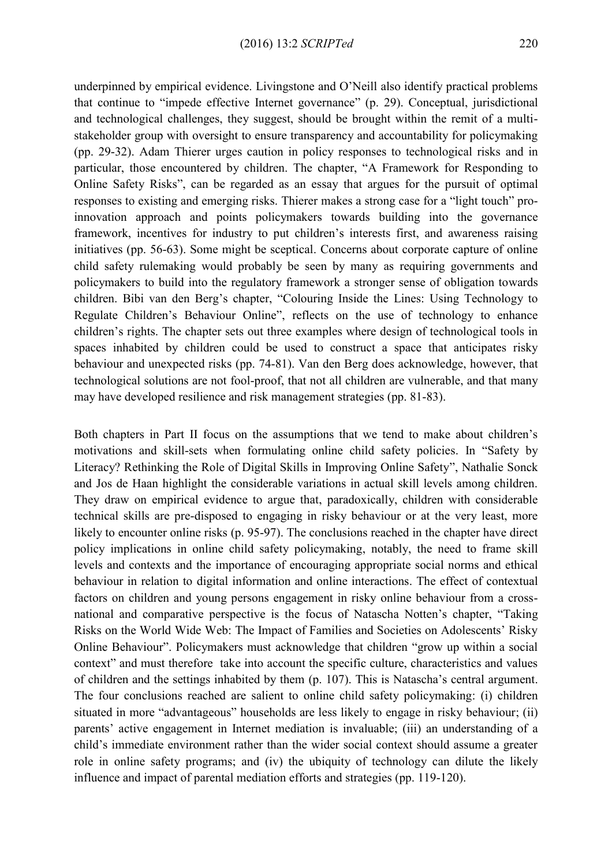underpinned by empirical evidence. Livingstone and O'Neill also identify practical problems that continue to "impede effective Internet governance" (p. 29). Conceptual, jurisdictional and technological challenges, they suggest, should be brought within the remit of a multistakeholder group with oversight to ensure transparency and accountability for policymaking (pp. 29-32). Adam Thierer urges caution in policy responses to technological risks and in particular, those encountered by children. The chapter, "A Framework for Responding to Online Safety Risks", can be regarded as an essay that argues for the pursuit of optimal responses to existing and emerging risks. Thierer makes a strong case for a "light touch" proinnovation approach and points policymakers towards building into the governance framework, incentives for industry to put children's interests first, and awareness raising initiatives (pp. 56-63). Some might be sceptical. Concerns about corporate capture of online child safety rulemaking would probably be seen by many as requiring governments and policymakers to build into the regulatory framework a stronger sense of obligation towards children. Bibi van den Berg's chapter, "Colouring Inside the Lines: Using Technology to Regulate Children's Behaviour Online", reflects on the use of technology to enhance children's rights. The chapter sets out three examples where design of technological tools in spaces inhabited by children could be used to construct a space that anticipates risky behaviour and unexpected risks (pp. 74-81). Van den Berg does acknowledge, however, that technological solutions are not fool-proof, that not all children are vulnerable, and that many may have developed resilience and risk management strategies (pp. 81-83).

Both chapters in Part II focus on the assumptions that we tend to make about children's motivations and skill-sets when formulating online child safety policies. In "Safety by Literacy? Rethinking the Role of Digital Skills in Improving Online Safety", Nathalie Sonck and Jos de Haan highlight the considerable variations in actual skill levels among children. They draw on empirical evidence to argue that, paradoxically, children with considerable technical skills are pre-disposed to engaging in risky behaviour or at the very least, more likely to encounter online risks (p. 95-97). The conclusions reached in the chapter have direct policy implications in online child safety policymaking, notably, the need to frame skill levels and contexts and the importance of encouraging appropriate social norms and ethical behaviour in relation to digital information and online interactions. The effect of contextual factors on children and young persons engagement in risky online behaviour from a crossnational and comparative perspective is the focus of Natascha Notten's chapter, "Taking Risks on the World Wide Web: The Impact of Families and Societies on Adolescents' Risky Online Behaviour". Policymakers must acknowledge that children "grow up within a social context" and must therefore take into account the specific culture, characteristics and values of children and the settings inhabited by them (p. 107). This is Natascha's central argument. The four conclusions reached are salient to online child safety policymaking: (i) children situated in more "advantageous" households are less likely to engage in risky behaviour; (ii) parents' active engagement in Internet mediation is invaluable; (iii) an understanding of a child's immediate environment rather than the wider social context should assume a greater role in online safety programs; and (iv) the ubiquity of technology can dilute the likely influence and impact of parental mediation efforts and strategies (pp. 119-120).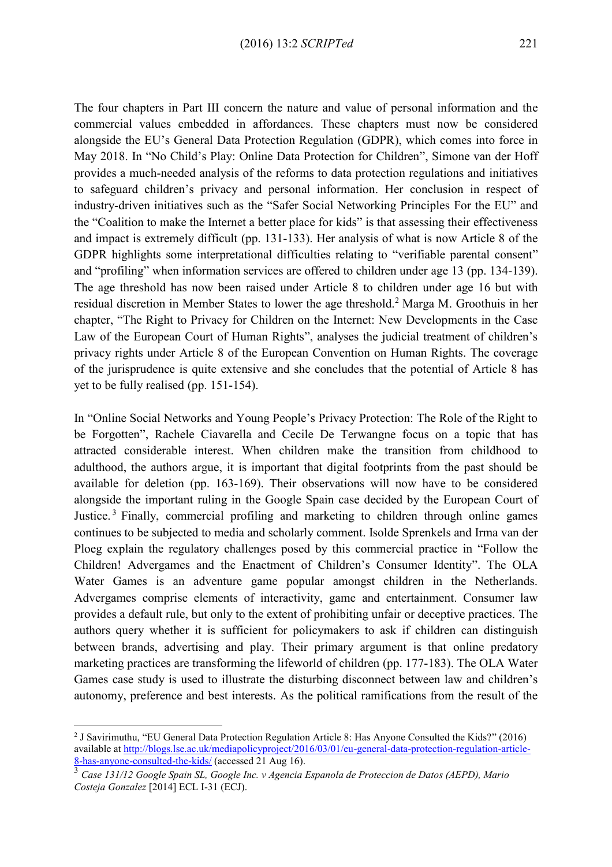The four chapters in Part III concern the nature and value of personal information and the commercial values embedded in affordances. These chapters must now be considered alongside the EU's General Data Protection Regulation (GDPR), which comes into force in May 2018. In "No Child's Play: Online Data Protection for Children", Simone van der Hoff provides a much-needed analysis of the reforms to data protection regulations and initiatives to safeguard children's privacy and personal information. Her conclusion in respect of industry-driven initiatives such as the "Safer Social Networking Principles For the EU" and the "Coalition to make the Internet a better place for kids" is that assessing their effectiveness and impact is extremely difficult (pp. 131-133). Her analysis of what is now Article 8 of the GDPR highlights some interpretational difficulties relating to "verifiable parental consent" and "profiling" when information services are offered to children under age 13 (pp. 134-139). The age threshold has now been raised under Article 8 to children under age 16 but with residual discretion in Member States to lower the age threshold.<sup>2</sup> Marga M. Groothuis in her chapter, "The Right to Privacy for Children on the Internet: New Developments in the Case Law of the European Court of Human Rights", analyses the judicial treatment of children's privacy rights under Article 8 of the European Convention on Human Rights. The coverage of the jurisprudence is quite extensive and she concludes that the potential of Article 8 has yet to be fully realised (pp. 151-154).

In "Online Social Networks and Young People's Privacy Protection: The Role of the Right to be Forgotten", Rachele Ciavarella and Cecile De Terwangne focus on a topic that has attracted considerable interest. When children make the transition from childhood to adulthood, the authors argue, it is important that digital footprints from the past should be available for deletion (pp. 163-169). Their observations will now have to be considered alongside the important ruling in the Google Spain case decided by the European Court of Justice. <sup>3</sup> Finally, commercial profiling and marketing to children through online games continues to be subjected to media and scholarly comment. Isolde Sprenkels and Irma van der Ploeg explain the regulatory challenges posed by this commercial practice in "Follow the Children! Advergames and the Enactment of Children's Consumer Identity". The OLA Water Games is an adventure game popular amongst children in the Netherlands. Advergames comprise elements of interactivity, game and entertainment. Consumer law provides a default rule, but only to the extent of prohibiting unfair or deceptive practices. The authors query whether it is sufficient for policymakers to ask if children can distinguish between brands, advertising and play. Their primary argument is that online predatory marketing practices are transforming the lifeworld of children (pp. 177-183). The OLA Water Games case study is used to illustrate the disturbing disconnect between law and children's autonomy, preference and best interests. As the political ramifications from the result of the

 $\overline{a}$ 

<sup>&</sup>lt;sup>2</sup> J Savirimuthu, "EU General Data Protection Regulation Article 8: Has Anyone Consulted the Kids?" (2016) available at [http://blogs.lse.ac.uk/mediapolicyproject/2016/03/01/eu-general-data-protection-regulation-article-](http://blogs.lse.ac.uk/mediapolicyproject/2016/03/01/eu-general-data-protection-regulation-article-8-has-anyone-consulted-the-kids/)[8-has-anyone-consulted-the-kids/](http://blogs.lse.ac.uk/mediapolicyproject/2016/03/01/eu-general-data-protection-regulation-article-8-has-anyone-consulted-the-kids/) (accessed 21 Aug 16).

<sup>3</sup> *Case 131/12 Google Spain SL, Google Inc. v Agencia Espanola de Proteccion de Datos (AEPD), Mario Costeja Gonzalez* [2014] ECL I-31 (ECJ).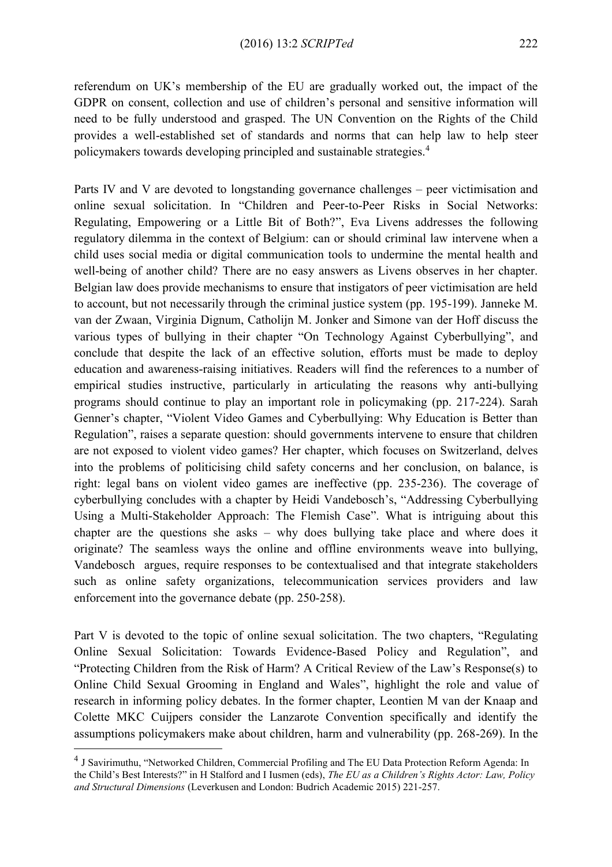referendum on UK's membership of the EU are gradually worked out, the impact of the GDPR on consent, collection and use of children's personal and sensitive information will need to be fully understood and grasped. The UN Convention on the Rights of the Child provides a well-established set of standards and norms that can help law to help steer policymakers towards developing principled and sustainable strategies.<sup>4</sup>

Parts IV and V are devoted to longstanding governance challenges – peer victimisation and online sexual solicitation. In "Children and Peer-to-Peer Risks in Social Networks: Regulating, Empowering or a Little Bit of Both?", Eva Livens addresses the following regulatory dilemma in the context of Belgium: can or should criminal law intervene when a child uses social media or digital communication tools to undermine the mental health and well-being of another child? There are no easy answers as Livens observes in her chapter. Belgian law does provide mechanisms to ensure that instigators of peer victimisation are held to account, but not necessarily through the criminal justice system (pp. 195-199). Janneke M. van der Zwaan, Virginia Dignum, Catholijn M. Jonker and Simone van der Hoff discuss the various types of bullying in their chapter "On Technology Against Cyberbullying", and conclude that despite the lack of an effective solution, efforts must be made to deploy education and awareness-raising initiatives. Readers will find the references to a number of empirical studies instructive, particularly in articulating the reasons why anti-bullying programs should continue to play an important role in policymaking (pp. 217-224). Sarah Genner's chapter, "Violent Video Games and Cyberbullying: Why Education is Better than Regulation", raises a separate question: should governments intervene to ensure that children are not exposed to violent video games? Her chapter, which focuses on Switzerland, delves into the problems of politicising child safety concerns and her conclusion, on balance, is right: legal bans on violent video games are ineffective (pp. 235-236). The coverage of cyberbullying concludes with a chapter by Heidi Vandebosch's, "Addressing Cyberbullying Using a Multi-Stakeholder Approach: The Flemish Case". What is intriguing about this chapter are the questions she asks – why does bullying take place and where does it originate? The seamless ways the online and offline environments weave into bullying, Vandebosch argues, require responses to be contextualised and that integrate stakeholders such as online safety organizations, telecommunication services providers and law enforcement into the governance debate (pp. 250-258).

Part V is devoted to the topic of online sexual solicitation. The two chapters, "Regulating Online Sexual Solicitation: Towards Evidence-Based Policy and Regulation", and "Protecting Children from the Risk of Harm? A Critical Review of the Law's Response(s) to Online Child Sexual Grooming in England and Wales", highlight the role and value of research in informing policy debates. In the former chapter, Leontien M van der Knaap and Colette MKC Cuijpers consider the Lanzarote Convention specifically and identify the assumptions policymakers make about children, harm and vulnerability (pp. 268-269). In the

 $\overline{a}$ 

<sup>&</sup>lt;sup>4</sup> J Savirimuthu, "Networked Children, Commercial Profiling and The EU Data Protection Reform Agenda: In the Child's Best Interests?" in H Stalford and I Iusmen (eds), *The EU as a Children's Rights Actor: Law, Policy and Structural Dimensions* (Leverkusen and London: Budrich Academic 2015) 221-257.